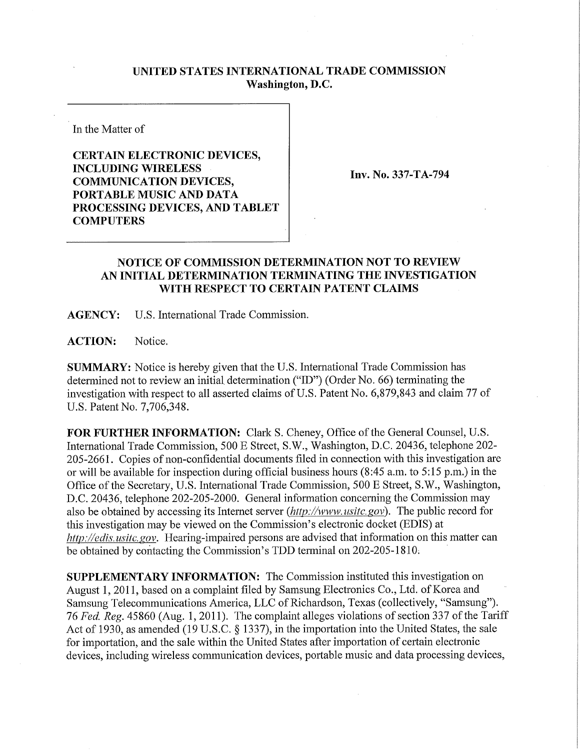## **UNITED STATES INTERNATIONAL TRADE COMMISSION Washington, D.C.**

In the Matter of

**CERTAIN ELECTRONIC DEVICES, INCLUDING WIRELES S COMMUNICATION DEVICES, PORTABLE MUSIC AND DATA PROCESSING DEVICES , AND TABLET COMPUTERS** 

**Inv. No. 337-TA-794** 

## **NOTICE OF COMMISSION DETERMINATION NOT TO REVIEW AN INITIAL DETERMINATION TERMINATING THE INVESTIGATION WITH RESPECT TO CERTAIN PATENT CLAIMS**

**AGENCY:** U.S. International Trade Commission.

ACTION: Notice.

**SUMMARY:** Notice is hereby given that the U.S. International Trade Commission has determined not to review an initial determination ("ID") (Order No. 66) terminating the investigation with respect to all asserted claims of U.S. Patent No. 6,879,843 and claim 77 of U.S. Patent No. 7,706,348.

FOR FURTHER INFORMATION: Clark S. Cheney, Office of the General Counsel, U.S. International Trade Commission, 500 E Street, S.W., Washington, D.C. 20436, telephone 202- 205-2661. Copies of non-confidential documents filed in connection with this investigation are or will be available for inspection during official business hours (8:45 a.m. to 5:15 p.m.) in the Office of the Secretary, U.S. International Trade Commission, 500 E Street, S.W., Washington, D.C. 20436, telephone 202-205-2000. General information concerning the Commission may also be obtained by accessing its Internet server *(http://www.usitc.gov)*. The public record for this investigation may be viewed on the Commission's electronic docket (EDIS) at *http://edis. usitc. gov.* Hearing-impaired persons are advised that information on this matter can be obtained by contacting the Commission's TDD terminal on 202-205-1810;

**SUPPLEMENTARY INFORMATION:** The Commission instituted this investigation on August 1, 2011, based on a complaint filed by Samsung Electronics Co., Ltd. of Korea and Samsung Telecommunications America, LLC of Richardson, Texas (collectively, "Samsung"). 76 *Fed. Reg.* 45860 (Aug. 1, 2011). The complaint alleges violations of section 337 of the Tariff Act of 1930, as amended (19 U.S.C. § 1337), in the importation into the United States, the sale for importation, and the sale within the United States after importation of certain electronic devices, including wireless communication devices, portable music and data processing devices,